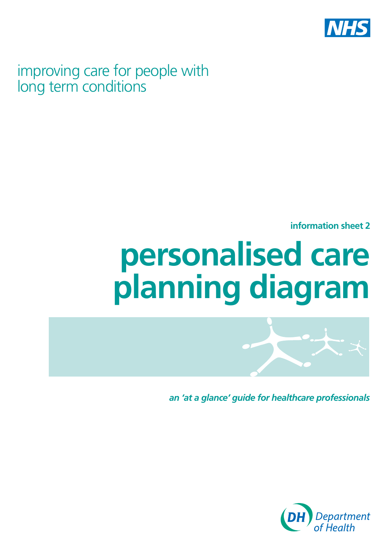

improving care for people with long term conditions

**information sheet 2** 

# **personalised care planning diagram**



*an 'at a glance' guide for healthcare professionals*

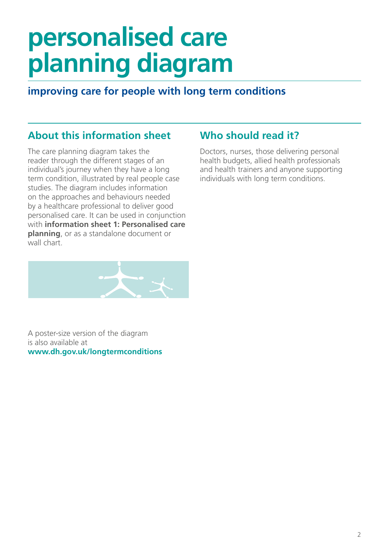# **personalised care planning diagram**

# **improving care for people with long term conditions**

# **About this information sheet**

The care planning diagram takes the reader through the different stages of an individual's journey when they have a long term condition, illustrated by real people case studies. The diagram includes information on the approaches and behaviours needed by a healthcare professional to deliver good personalised care. It can be used in conjunction with **information sheet 1: Personalised care planning**, or as a standalone document or wall chart.



A poster-size version of the diagram is also available at **[www.dh.gov.uk/longtermconditions](http://www.dh.gov.uk/longtermconditions)** 

# **Who should read it?**

Doctors, nurses, those delivering personal health budgets, allied health professionals and health trainers and anyone supporting individuals with long term conditions.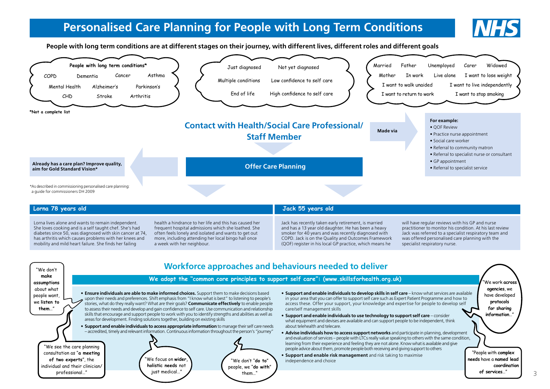# **Personalised Care Planning for People with Long Term Conditions**



3

**People with long term conditions are at different stages on their journey, with different lives, different roles and different goals** 



| health a hindrance to her life and this has caused her<br>Lorna lives alone and wants to remain independent.<br>Jack has recently taken early retirement, is married                                                                                                                                                                                                                                                                                                                                                                                                                                                                                                       |                                                                                                                                                                                                                                                            |
|----------------------------------------------------------------------------------------------------------------------------------------------------------------------------------------------------------------------------------------------------------------------------------------------------------------------------------------------------------------------------------------------------------------------------------------------------------------------------------------------------------------------------------------------------------------------------------------------------------------------------------------------------------------------------|------------------------------------------------------------------------------------------------------------------------------------------------------------------------------------------------------------------------------------------------------------|
| She loves cooking and is a self taught chef. She's had<br>and has a 13 year old daughter. He has been a heavy<br>frequent hospital admissions which she loathed. She<br>diabetes since 50, was diagnosed with skin cancer at 74,<br>smoker for 40 years and was recently diagnosed with<br>often feels lonely and isolated and wants to get out<br>has arthritis which causes problems with her knees and<br>COPD. Jack is on the Quality and Outcomes Framework<br>more, including attending her local bingo hall once<br>mobility and mild heart failure. She finds her failing<br>(QOF) register in his local GP practice, which means he<br>a week with her neighbour. | will have regular reviews with his GP and nurse<br>practitioner to monitor his condition. At his last review<br>Jack was referred to a specialist respiratory team and<br>was offered personalised care planning with the<br>specialist respiratory nurse. |

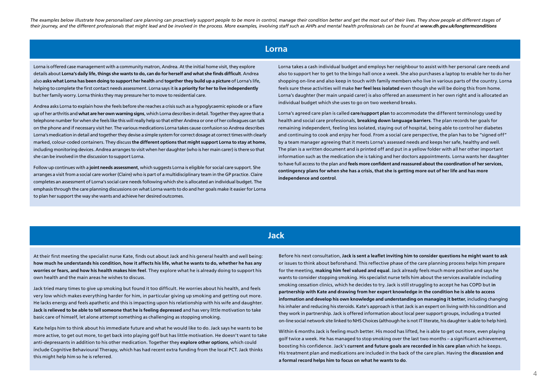The examples below illustrate how personalised care planning can proactively support people to be more in control, manage their condition better and get the most out of their lives. They show people at different stages of their journey, and the different professionals that might lead and be involved in the process. More examples, involving staff such as AHPs and mental health professionals can be found at [www.dh.gov.uk/longtermconditions](http://www.dh.gov.uk/longtermconditions)

#### **Lorna**

Lorna is offered case management with a community matron, Andrea. At the initial home visit, they explore details about **Lorna's daily life, things she wants to do, can do for herself and what she finds difficult**. Andrea also **asks what Lorna has been doing to support her health** and **together they build up a picture** of Lorna's life, helping to complete the first contact needs assessment. Lorna says it **is a priority for her to live independently**  but her family worry. Lorna thinks they may pressure her to move to residential care.

Andrea asks Lorna to explain how she feels before she reaches a crisis such as a hypoglycaemic episode or a flare up of her arthritis and **what are her own warning signs**, which Lorna describes in detail. Together they agree that a telephone number for when she feels like this will really help so that either Andrea or one of her colleagues can talk on the phone and if necessary visit her. The various medications Lorna takes cause confusion so Andrea describes Lorna's medication in detail and together they devise a simple system for correct dosage at correct times with clearly marked, colour-coded containers. They discuss **the different options that might support Lorna to stay at home**, including monitoring devices. Andrea arranges to visit when her daughter (who is her main carer) is there so that she can be involved in the discussion to support Lorna.

Follow up continues with a **joint needs assessment**, which suggests Lorna is eligible for social care support. She arranges a visit from a social care worker (Claire) who is part of a multidisciplinary team in the GP practice. Claire completes an assessment of Lorna's social care needs following which she is allocated an individual budget. The emphasis through the care planning discussions on what Lorna wants to do and her goals make it easier for Lorna to plan her support the way she wants and achieve her desired outcomes.

Lorna takes a cash individual budget and employs her neighbour to assist with her personal care needs and also to support her to get to the bingo hall once a week. She also purchases a laptop to enable her to do her shopping on-line and also keep in touch with family members who live in various parts of the country. Lorna feels sure these activities will make **her feel less isolated** even though she will be doing this from home. Lorna's daughter (her main unpaid carer) is also offered an assessment in her own right and is allocated an individual budget which she uses to go on two weekend breaks.

Lorna's agreed care plan is called **care/support plan** to accommodate the different terminology used by health and social care professionals, **breaking down language barriers**. The plan records her goals for remaining independent, feeling less isolated, staying out of hospital, being able to control her diabetes and continuing to cook and enjoy her food. From a social care perspective, the plan has to be "signed off" by a team manager agreeing that it meets Lorna's assessed needs and keeps her safe, healthy and well. The plan is a written document and is printed off and put in a yellow folder with all her other important information such as the medication she is taking and her doctors appointments. Lorna wants her daughter to have full access to the plan and **feels more confident and reassured about the coordination of her services, contingency plans for when she has a crisis, that she is getting more out of her life and has more independence and control**.

# **Jack**

At their first meeting the specialist nurse Kate, finds out about Jack and his general health and well being: **how much he understands his condition, how it affects his life, what he wants to do, whether he has any worries or fears, and how his health makes him feel**. They explore what he is already doing to support his own health and the main areas he wishes to discuss.

Jack tried many times to give up smoking but found it too difficult. He worries about his health, and feels very low which makes everything harder for him, in particular giving up smoking and getting out more. He lacks energy and feels apathetic and this is impacting upon his relationship with his wife and daughter. **Jack is relieved to be able to tell someone that he is feeling depressed** and has very little motivation to take basic care of himself, let alone attempt something as challenging as stopping smoking.

Kate helps him to think about his immediate future and what he would like to do. Jack says he wants to be more active, to get out more, to get back into playing golf but has little motivation. He doesn't want to take anti-depressants in addition to his other medication. Together they **explore other options**, which could include Cognitive Behavioural Therapy, which has had recent extra funding from the local PCT. Jack thinks this might help him so he is referred.

Before his next consultation, **Jack is sent a leaflet inviting him to consider questions he might want to ask**  or issues to think about beforehand. This reflective phase of the care planning process helps him prepare for the meeting, **making him feel valued and equal**. Jack already feels much more positive and says he wants to consider stopping smoking. His specialist nurse tells him about the services available including smoking cessation clinics, which he decides to try. Jack is still struggling to accept he has COPD but **in partnership with Kate and drawing from her expert knowledge in the condition he is able to access information and develop his own knowledge and understanding on managing it better**, including changing his inhaler and reducing his steroids. Kate's approach is that Jack is an expert on living with his condition and they work in partnership. Jack is offered information about local peer support groups, including a trusted on-line social network site linked to NHS Choices (although he is not IT literate, his daughter is able to help him).

Within 6 months Jack is feeling much better. His mood has lifted, he is able to get out more, even playing golf twice a week. He has managed to stop smoking over the last two months – a significant achievement, boosting his confidence. Jack's **current and future goals are recorded in his care plan** which he keeps. His treatment plan and medications are included in the back of the care plan. Having the **discussion and a formal record helps him to focus on what he wants to do**.